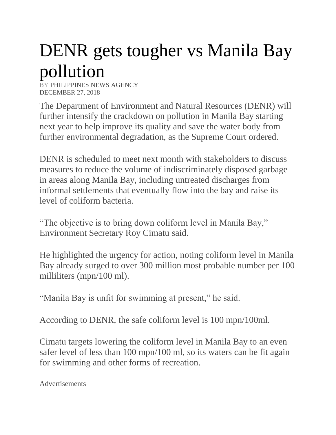## DENR gets tougher vs Manila Bay pollution

PINES NEWS AGENCY DECEMBER 27, 2018

The Department of Environment and Natural Resources (DENR) will further intensify the crackdown on pollution in Manila Bay starting next year to help improve its quality and save the water body from further environmental degradation, as the Supreme Court ordered.

DENR is scheduled to meet next month with stakeholders to discuss measures to reduce the volume of indiscriminately disposed garbage in areas along Manila Bay, including untreated discharges from informal settlements that eventually flow into the bay and raise its level of coliform bacteria.

"The objective is to bring down coliform level in Manila Bay," Environment Secretary Roy Cimatu said.

He highlighted the urgency for action, noting coliform level in Manila Bay already surged to over 300 million most probable number per 100 milliliters (mpn/100 ml).

"Manila Bay is unfit for swimming at present," he said.

According to DENR, the safe coliform level is 100 mpn/100ml.

Cimatu targets lowering the coliform level in Manila Bay to an even safer level of less than 100 mpn/100 ml, so its waters can be fit again for swimming and other forms of recreation.

Advertisements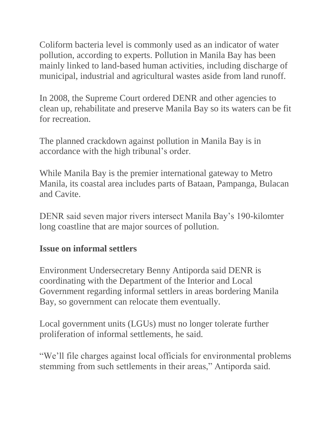Coliform bacteria level is commonly used as an indicator of water pollution, according to experts. Pollution in Manila Bay has been mainly linked to land-based human activities, including discharge of municipal, industrial and agricultural wastes aside from land runoff.

In 2008, the Supreme Court ordered DENR and other agencies to clean up, rehabilitate and preserve Manila Bay so its waters can be fit for recreation.

The planned crackdown against pollution in Manila Bay is in accordance with the high tribunal's order.

While Manila Bay is the premier international gateway to Metro Manila, its coastal area includes parts of Bataan, Pampanga, Bulacan and Cavite.

DENR said seven major rivers intersect Manila Bay's 190-kilomter long coastline that are major sources of pollution.

## **Issue on informal settlers**

Environment Undersecretary Benny Antiporda said DENR is coordinating with the Department of the Interior and Local Government regarding informal settlers in areas bordering Manila Bay, so government can relocate them eventually.

Local government units (LGUs) must no longer tolerate further proliferation of informal settlements, he said.

"We'll file charges against local officials for environmental problems stemming from such settlements in their areas," Antiporda said.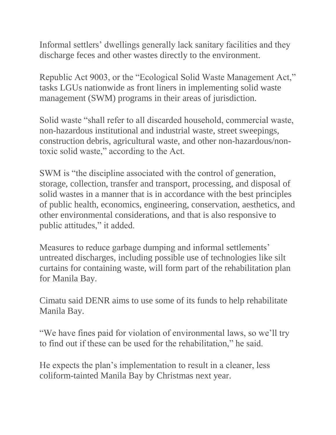Informal settlers' dwellings generally lack sanitary facilities and they discharge feces and other wastes directly to the environment.

Republic Act 9003, or the "Ecological Solid Waste Management Act," tasks LGUs nationwide as front liners in implementing solid waste management (SWM) programs in their areas of jurisdiction.

Solid waste "shall refer to all discarded household, commercial waste, non-hazardous institutional and industrial waste, street sweepings, construction debris, agricultural waste, and other non-hazardous/nontoxic solid waste," according to the Act.

SWM is "the discipline associated with the control of generation, storage, collection, transfer and transport, processing, and disposal of solid wastes in a manner that is in accordance with the best principles of public health, economics, engineering, conservation, aesthetics, and other environmental considerations, and that is also responsive to public attitudes," it added.

Measures to reduce garbage dumping and informal settlements' untreated discharges, including possible use of technologies like silt curtains for containing waste, will form part of the rehabilitation plan for Manila Bay.

Cimatu said DENR aims to use some of its funds to help rehabilitate Manila Bay.

"We have fines paid for violation of environmental laws, so we'll try to find out if these can be used for the rehabilitation," he said.

He expects the plan's implementation to result in a cleaner, less coliform-tainted Manila Bay by Christmas next year.